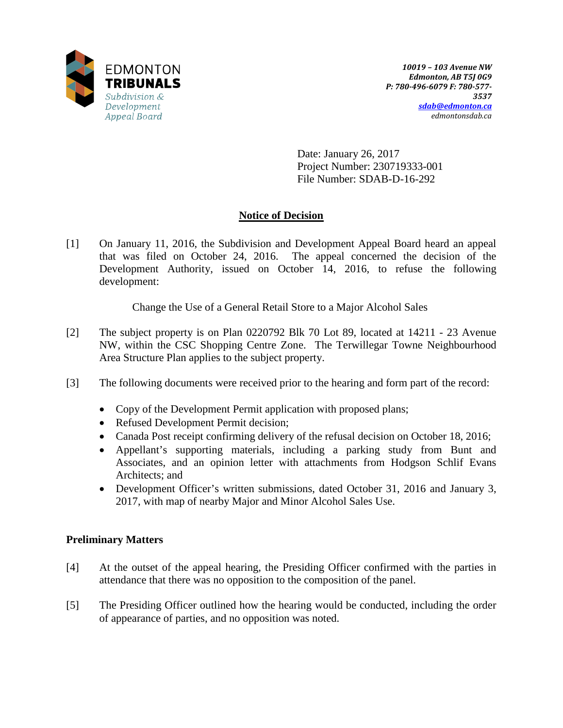

Date: January 26, 2017 Project Number: 230719333-001 File Number: SDAB-D-16-292

## **Notice of Decision**

[1] On January 11, 2016, the Subdivision and Development Appeal Board heard an appeal that was filed on October 24, 2016. The appeal concerned the decision of the Development Authority, issued on October 14, 2016, to refuse the following development:

Change the Use of a General Retail Store to a Major Alcohol Sales

- [2] The subject property is on Plan 0220792 Blk 70 Lot 89, located at 14211 23 Avenue NW, within the CSC Shopping Centre Zone. The Terwillegar Towne Neighbourhood Area Structure Plan applies to the subject property.
- [3] The following documents were received prior to the hearing and form part of the record:
	- Copy of the Development Permit application with proposed plans;
	- Refused Development Permit decision;
	- Canada Post receipt confirming delivery of the refusal decision on October 18, 2016;
	- Appellant's supporting materials, including a parking study from Bunt and Associates, and an opinion letter with attachments from Hodgson Schlif Evans Architects; and
	- Development Officer's written submissions, dated October 31, 2016 and January 3, 2017, with map of nearby Major and Minor Alcohol Sales Use.

## **Preliminary Matters**

- [4] At the outset of the appeal hearing, the Presiding Officer confirmed with the parties in attendance that there was no opposition to the composition of the panel.
- [5] The Presiding Officer outlined how the hearing would be conducted, including the order of appearance of parties, and no opposition was noted.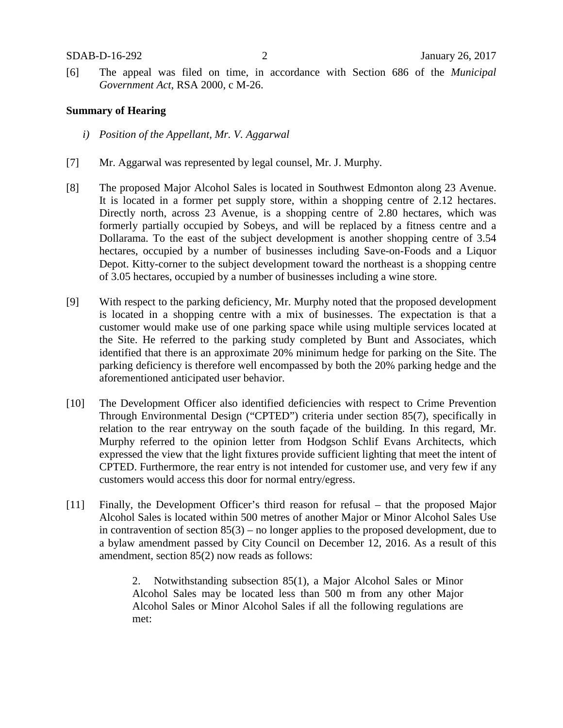[6] The appeal was filed on time, in accordance with Section 686 of the *Municipal Government Act*, RSA 2000, c M-26.

#### **Summary of Hearing**

- *i) Position of the Appellant, Mr. V. Aggarwal*
- [7] Mr. Aggarwal was represented by legal counsel, Mr. J. Murphy.
- [8] The proposed Major Alcohol Sales is located in Southwest Edmonton along 23 Avenue. It is located in a former pet supply store, within a shopping centre of 2.12 hectares. Directly north, across 23 Avenue, is a shopping centre of 2.80 hectares, which was formerly partially occupied by Sobeys, and will be replaced by a fitness centre and a Dollarama. To the east of the subject development is another shopping centre of 3.54 hectares, occupied by a number of businesses including Save-on-Foods and a Liquor Depot. Kitty-corner to the subject development toward the northeast is a shopping centre of 3.05 hectares, occupied by a number of businesses including a wine store.
- [9] With respect to the parking deficiency, Mr. Murphy noted that the proposed development is located in a shopping centre with a mix of businesses. The expectation is that a customer would make use of one parking space while using multiple services located at the Site. He referred to the parking study completed by Bunt and Associates, which identified that there is an approximate 20% minimum hedge for parking on the Site. The parking deficiency is therefore well encompassed by both the 20% parking hedge and the aforementioned anticipated user behavior.
- [10] The Development Officer also identified deficiencies with respect to Crime Prevention Through Environmental Design ("CPTED") criteria under section 85(7), specifically in relation to the rear entryway on the south façade of the building. In this regard, Mr. Murphy referred to the opinion letter from Hodgson Schlif Evans Architects, which expressed the view that the light fixtures provide sufficient lighting that meet the intent of CPTED. Furthermore, the rear entry is not intended for customer use, and very few if any customers would access this door for normal entry/egress.
- [11] Finally, the Development Officer's third reason for refusal that the proposed Major Alcohol Sales is located within 500 metres of another Major or Minor Alcohol Sales Use in contravention of section 85(3) – no longer applies to the proposed development, due to a bylaw amendment passed by City Council on December 12, 2016. As a result of this amendment, section 85(2) now reads as follows:

2. Notwithstanding subsection 85(1), a Major Alcohol Sales or Minor Alcohol Sales may be located less than 500 m from any other Major Alcohol Sales or Minor Alcohol Sales if all the following regulations are met: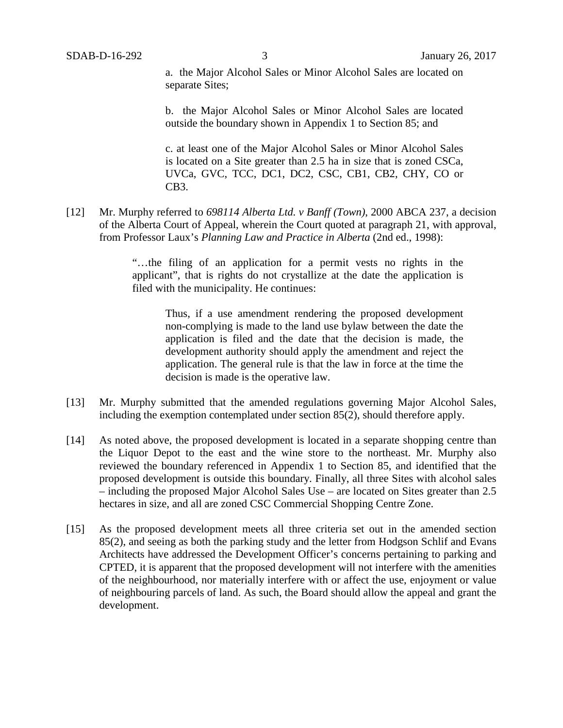a. the Major Alcohol Sales or Minor Alcohol Sales are located on separate Sites;

b. the Major Alcohol Sales or Minor Alcohol Sales are located outside the boundary shown in Appendix 1 to Section 85; and

c. at least one of the Major Alcohol Sales or Minor Alcohol Sales is located on a Site greater than 2.5 ha in size that is zoned CSCa, UVCa, GVC, TCC, DC1, DC2, CSC, CB1, CB2, CHY, CO or CB3.

[12] Mr. Murphy referred to *698114 Alberta Ltd. v Banff (Town)*, 2000 ABCA 237, a decision of the Alberta Court of Appeal, wherein the Court quoted at paragraph 21, with approval, from Professor Laux's *Planning Law and Practice in Alberta* (2nd ed., 1998):

> "…the filing of an application for a permit vests no rights in the applicant", that is rights do not crystallize at the date the application is filed with the municipality. He continues:

> > Thus, if a use amendment rendering the proposed development non-complying is made to the land use bylaw between the date the application is filed and the date that the decision is made, the development authority should apply the amendment and reject the application. The general rule is that the law in force at the time the decision is made is the operative law.

- [13] Mr. Murphy submitted that the amended regulations governing Major Alcohol Sales, including the exemption contemplated under section 85(2), should therefore apply.
- [14] As noted above, the proposed development is located in a separate shopping centre than the Liquor Depot to the east and the wine store to the northeast. Mr. Murphy also reviewed the boundary referenced in Appendix 1 to Section 85, and identified that the proposed development is outside this boundary. Finally, all three Sites with alcohol sales – including the proposed Major Alcohol Sales Use – are located on Sites greater than 2.5 hectares in size, and all are zoned CSC Commercial Shopping Centre Zone.
- [15] As the proposed development meets all three criteria set out in the amended section 85(2), and seeing as both the parking study and the letter from Hodgson Schlif and Evans Architects have addressed the Development Officer's concerns pertaining to parking and CPTED, it is apparent that the proposed development will not interfere with the amenities of the neighbourhood, nor materially interfere with or affect the use, enjoyment or value of neighbouring parcels of land. As such, the Board should allow the appeal and grant the development.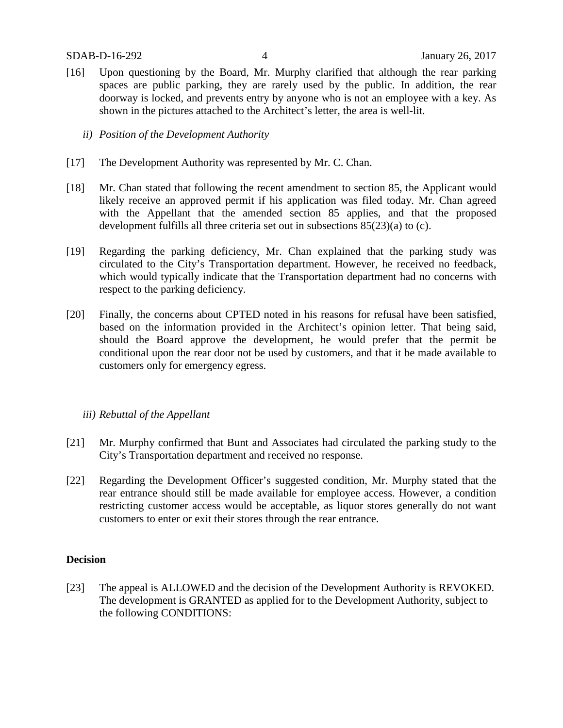- [16] Upon questioning by the Board, Mr. Murphy clarified that although the rear parking spaces are public parking, they are rarely used by the public. In addition, the rear doorway is locked, and prevents entry by anyone who is not an employee with a key. As shown in the pictures attached to the Architect's letter, the area is well-lit.
	- *ii) Position of the Development Authority*
- [17] The Development Authority was represented by Mr. C. Chan.
- [18] Mr. Chan stated that following the recent amendment to section 85, the Applicant would likely receive an approved permit if his application was filed today. Mr. Chan agreed with the Appellant that the amended section 85 applies, and that the proposed development fulfills all three criteria set out in subsections 85(23)(a) to (c).
- [19] Regarding the parking deficiency, Mr. Chan explained that the parking study was circulated to the City's Transportation department. However, he received no feedback, which would typically indicate that the Transportation department had no concerns with respect to the parking deficiency.
- [20] Finally, the concerns about CPTED noted in his reasons for refusal have been satisfied, based on the information provided in the Architect's opinion letter. That being said, should the Board approve the development, he would prefer that the permit be conditional upon the rear door not be used by customers, and that it be made available to customers only for emergency egress.

#### *iii) Rebuttal of the Appellant*

- [21] Mr. Murphy confirmed that Bunt and Associates had circulated the parking study to the City's Transportation department and received no response.
- [22] Regarding the Development Officer's suggested condition, Mr. Murphy stated that the rear entrance should still be made available for employee access. However, a condition restricting customer access would be acceptable, as liquor stores generally do not want customers to enter or exit their stores through the rear entrance.

#### **Decision**

[23] The appeal is ALLOWED and the decision of the Development Authority is REVOKED. The development is GRANTED as applied for to the Development Authority, subject to the following CONDITIONS: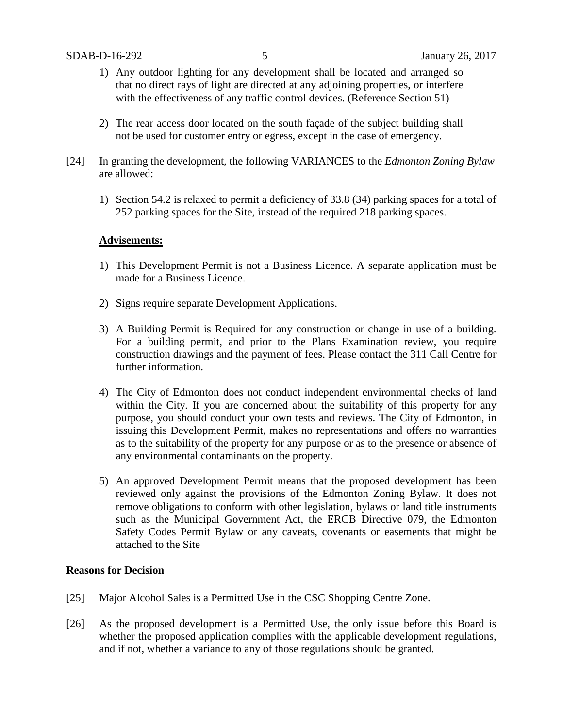- 1) Any outdoor lighting for any development shall be located and arranged so that no direct rays of light are directed at any adjoining properties, or interfere with the effectiveness of any traffic control devices. (Reference Section 51)
- 2) The rear access door located on the south façade of the subject building shall not be used for customer entry or egress, except in the case of emergency.
- [24] In granting the development, the following VARIANCES to the *Edmonton Zoning Bylaw* are allowed:
	- 1) Section 54.2 is relaxed to permit a deficiency of 33.8 (34) parking spaces for a total of 252 parking spaces for the Site, instead of the required 218 parking spaces.

### **Advisements:**

- 1) This Development Permit is not a Business Licence. A separate application must be made for a Business Licence.
- 2) Signs require separate Development Applications.
- 3) A Building Permit is Required for any construction or change in use of a building. For a building permit, and prior to the Plans Examination review, you require construction drawings and the payment of fees. Please contact the 311 Call Centre for further information.
- 4) The City of Edmonton does not conduct independent environmental checks of land within the City. If you are concerned about the suitability of this property for any purpose, you should conduct your own tests and reviews. The City of Edmonton, in issuing this Development Permit, makes no representations and offers no warranties as to the suitability of the property for any purpose or as to the presence or absence of any environmental contaminants on the property.
- 5) An approved Development Permit means that the proposed development has been reviewed only against the provisions of the Edmonton Zoning Bylaw. It does not remove obligations to conform with other legislation, bylaws or land title instruments such as the Municipal Government Act, the ERCB Directive 079, the Edmonton Safety Codes Permit Bylaw or any caveats, covenants or easements that might be attached to the Site

#### **Reasons for Decision**

- [25] Major Alcohol Sales is a Permitted Use in the CSC Shopping Centre Zone.
- [26] As the proposed development is a Permitted Use, the only issue before this Board is whether the proposed application complies with the applicable development regulations, and if not, whether a variance to any of those regulations should be granted.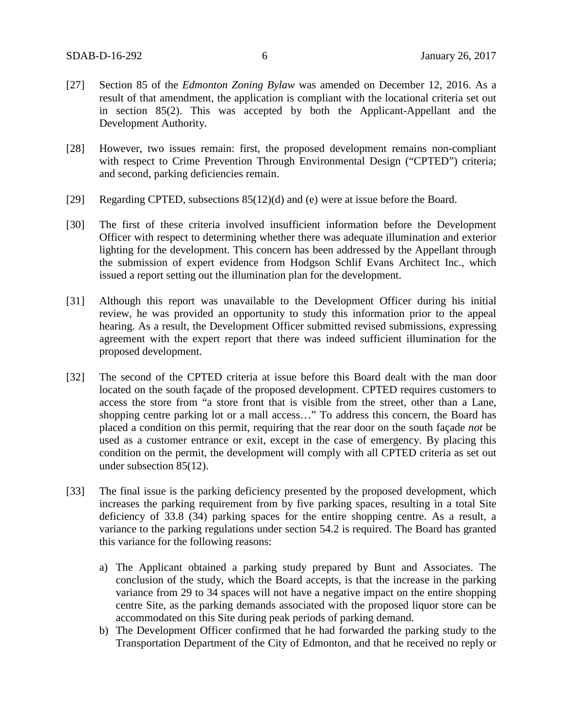- [27] Section 85 of the *Edmonton Zoning Bylaw* was amended on December 12, 2016. As a result of that amendment, the application is compliant with the locational criteria set out in section 85(2). This was accepted by both the Applicant-Appellant and the Development Authority.
- [28] However, two issues remain: first, the proposed development remains non-compliant with respect to Crime Prevention Through Environmental Design ("CPTED") criteria; and second, parking deficiencies remain.
- [29] Regarding CPTED, subsections 85(12)(d) and (e) were at issue before the Board.
- [30] The first of these criteria involved insufficient information before the Development Officer with respect to determining whether there was adequate illumination and exterior lighting for the development. This concern has been addressed by the Appellant through the submission of expert evidence from Hodgson Schlif Evans Architect Inc., which issued a report setting out the illumination plan for the development.
- [31] Although this report was unavailable to the Development Officer during his initial review, he was provided an opportunity to study this information prior to the appeal hearing. As a result, the Development Officer submitted revised submissions, expressing agreement with the expert report that there was indeed sufficient illumination for the proposed development.
- [32] The second of the CPTED criteria at issue before this Board dealt with the man door located on the south façade of the proposed development. CPTED requires customers to access the store from "a store front that is visible from the street, other than a Lane, shopping centre parking lot or a mall access…" To address this concern, the Board has placed a condition on this permit, requiring that the rear door on the south façade *not* be used as a customer entrance or exit, except in the case of emergency. By placing this condition on the permit, the development will comply with all CPTED criteria as set out under subsection 85(12).
- [33] The final issue is the parking deficiency presented by the proposed development, which increases the parking requirement from by five parking spaces, resulting in a total Site deficiency of 33.8 (34) parking spaces for the entire shopping centre. As a result, a variance to the parking regulations under section 54.2 is required. The Board has granted this variance for the following reasons:
	- a) The Applicant obtained a parking study prepared by Bunt and Associates. The conclusion of the study, which the Board accepts, is that the increase in the parking variance from 29 to 34 spaces will not have a negative impact on the entire shopping centre Site, as the parking demands associated with the proposed liquor store can be accommodated on this Site during peak periods of parking demand.
	- b) The Development Officer confirmed that he had forwarded the parking study to the Transportation Department of the City of Edmonton, and that he received no reply or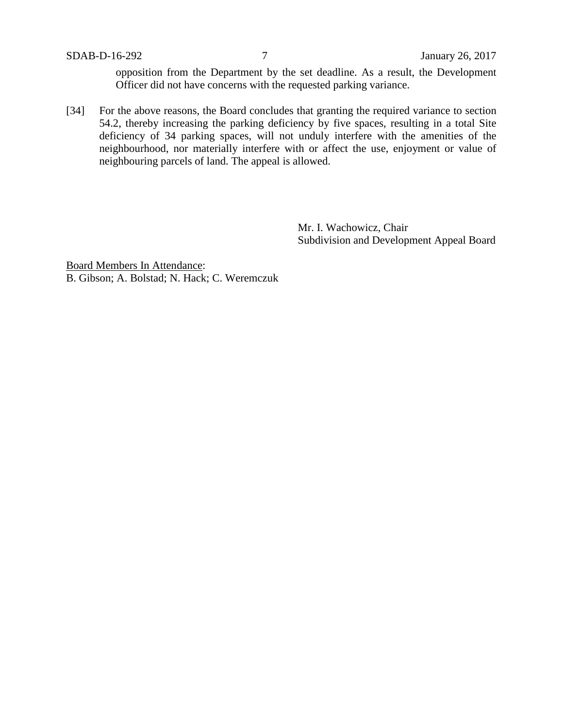opposition from the Department by the set deadline. As a result, the Development Officer did not have concerns with the requested parking variance.

[34] For the above reasons, the Board concludes that granting the required variance to section 54.2, thereby increasing the parking deficiency by five spaces, resulting in a total Site deficiency of 34 parking spaces, will not unduly interfere with the amenities of the neighbourhood, nor materially interfere with or affect the use, enjoyment or value of neighbouring parcels of land. The appeal is allowed.

> Mr. I. Wachowicz, Chair Subdivision and Development Appeal Board

Board Members In Attendance: B. Gibson; A. Bolstad; N. Hack; C. Weremczuk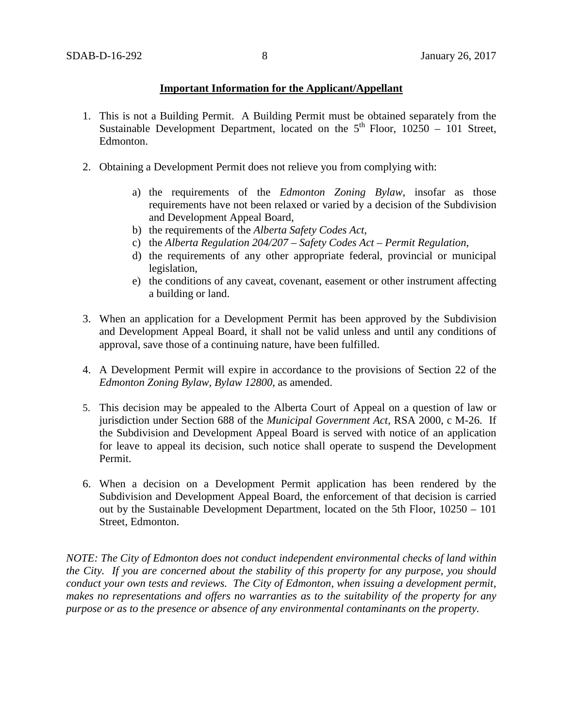### **Important Information for the Applicant/Appellant**

- 1. This is not a Building Permit. A Building Permit must be obtained separately from the Sustainable Development Department, located on the  $5<sup>th</sup>$  Floor, 10250 – 101 Street, Edmonton.
- 2. Obtaining a Development Permit does not relieve you from complying with:
	- a) the requirements of the *Edmonton Zoning Bylaw*, insofar as those requirements have not been relaxed or varied by a decision of the Subdivision and Development Appeal Board,
	- b) the requirements of the *Alberta Safety Codes Act*,
	- c) the *Alberta Regulation 204/207 – Safety Codes Act – Permit Regulation*,
	- d) the requirements of any other appropriate federal, provincial or municipal legislation,
	- e) the conditions of any caveat, covenant, easement or other instrument affecting a building or land.
- 3. When an application for a Development Permit has been approved by the Subdivision and Development Appeal Board, it shall not be valid unless and until any conditions of approval, save those of a continuing nature, have been fulfilled.
- 4. A Development Permit will expire in accordance to the provisions of Section 22 of the *Edmonton Zoning Bylaw, Bylaw 12800*, as amended.
- 5. This decision may be appealed to the Alberta Court of Appeal on a question of law or jurisdiction under Section 688 of the *Municipal Government Act*, RSA 2000, c M-26. If the Subdivision and Development Appeal Board is served with notice of an application for leave to appeal its decision, such notice shall operate to suspend the Development Permit.
- 6. When a decision on a Development Permit application has been rendered by the Subdivision and Development Appeal Board, the enforcement of that decision is carried out by the Sustainable Development Department, located on the 5th Floor, 10250 – 101 Street, Edmonton.

*NOTE: The City of Edmonton does not conduct independent environmental checks of land within the City. If you are concerned about the stability of this property for any purpose, you should conduct your own tests and reviews. The City of Edmonton, when issuing a development permit, makes no representations and offers no warranties as to the suitability of the property for any purpose or as to the presence or absence of any environmental contaminants on the property.*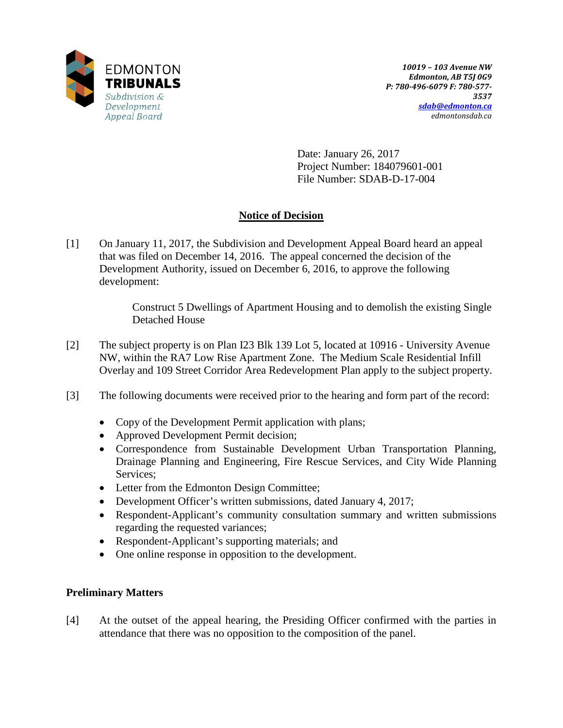

Date: January 26, 2017 Project Number: 184079601-001 File Number: SDAB-D-17-004

# **Notice of Decision**

[1] On January 11, 2017, the Subdivision and Development Appeal Board heard an appeal that was filed on December 14, 2016. The appeal concerned the decision of the Development Authority, issued on December 6, 2016, to approve the following development:

> Construct 5 Dwellings of Apartment Housing and to demolish the existing Single Detached House

- [2] The subject property is on Plan I23 Blk 139 Lot 5, located at 10916 University Avenue NW, within the RA7 Low Rise Apartment Zone. The Medium Scale Residential Infill Overlay and 109 Street Corridor Area Redevelopment Plan apply to the subject property.
- [3] The following documents were received prior to the hearing and form part of the record:
	- Copy of the Development Permit application with plans;
	- Approved Development Permit decision;
	- Correspondence from Sustainable Development Urban Transportation Planning, Drainage Planning and Engineering, Fire Rescue Services, and City Wide Planning Services;
	- Letter from the Edmonton Design Committee;
	- Development Officer's written submissions, dated January 4, 2017;
	- Respondent-Applicant's community consultation summary and written submissions regarding the requested variances;
	- Respondent-Applicant's supporting materials; and
	- One online response in opposition to the development.

### **Preliminary Matters**

[4] At the outset of the appeal hearing, the Presiding Officer confirmed with the parties in attendance that there was no opposition to the composition of the panel.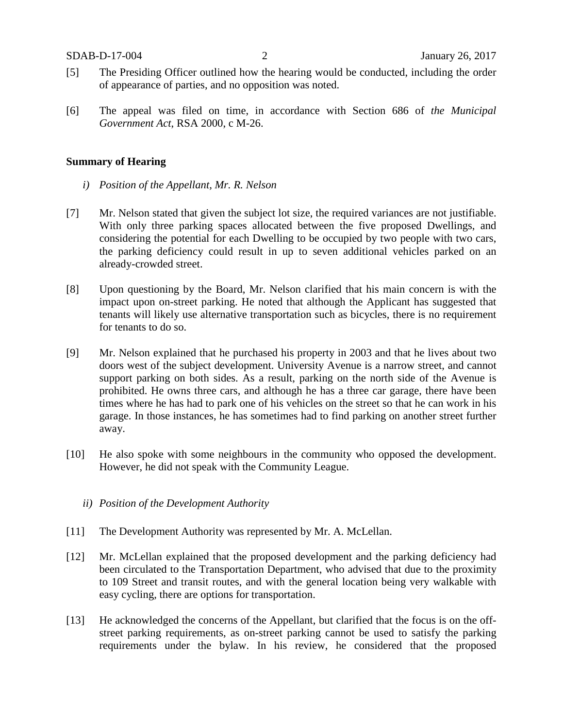- [5] The Presiding Officer outlined how the hearing would be conducted, including the order of appearance of parties, and no opposition was noted.
- [6] The appeal was filed on time, in accordance with Section 686 of *the Municipal Government Act*, RSA 2000, c M-26.

### **Summary of Hearing**

- *i) Position of the Appellant, Mr. R. Nelson*
- [7] Mr. Nelson stated that given the subject lot size, the required variances are not justifiable. With only three parking spaces allocated between the five proposed Dwellings, and considering the potential for each Dwelling to be occupied by two people with two cars, the parking deficiency could result in up to seven additional vehicles parked on an already-crowded street.
- [8] Upon questioning by the Board, Mr. Nelson clarified that his main concern is with the impact upon on-street parking. He noted that although the Applicant has suggested that tenants will likely use alternative transportation such as bicycles, there is no requirement for tenants to do so.
- [9] Mr. Nelson explained that he purchased his property in 2003 and that he lives about two doors west of the subject development. University Avenue is a narrow street, and cannot support parking on both sides. As a result, parking on the north side of the Avenue is prohibited. He owns three cars, and although he has a three car garage, there have been times where he has had to park one of his vehicles on the street so that he can work in his garage. In those instances, he has sometimes had to find parking on another street further away.
- [10] He also spoke with some neighbours in the community who opposed the development. However, he did not speak with the Community League.
	- *ii) Position of the Development Authority*
- [11] The Development Authority was represented by Mr. A. McLellan.
- [12] Mr. McLellan explained that the proposed development and the parking deficiency had been circulated to the Transportation Department, who advised that due to the proximity to 109 Street and transit routes, and with the general location being very walkable with easy cycling, there are options for transportation.
- [13] He acknowledged the concerns of the Appellant, but clarified that the focus is on the offstreet parking requirements, as on-street parking cannot be used to satisfy the parking requirements under the bylaw. In his review, he considered that the proposed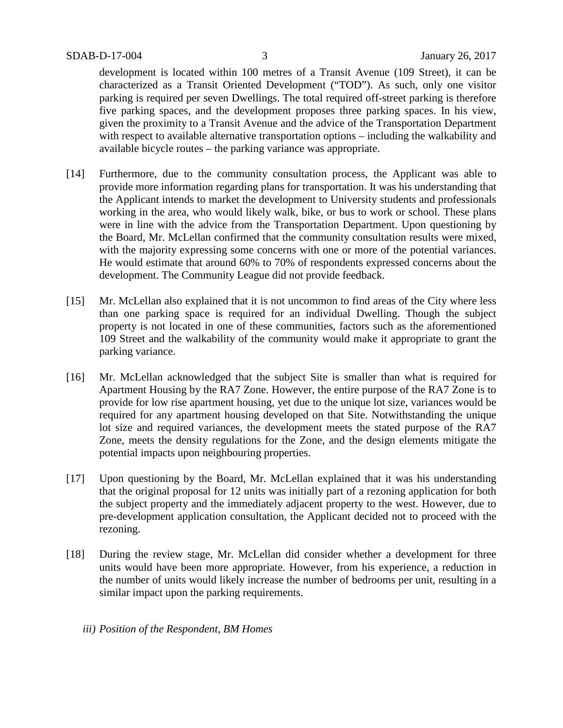development is located within 100 metres of a Transit Avenue (109 Street), it can be characterized as a Transit Oriented Development ("TOD"). As such, only one visitor parking is required per seven Dwellings. The total required off-street parking is therefore five parking spaces, and the development proposes three parking spaces. In his view, given the proximity to a Transit Avenue and the advice of the Transportation Department with respect to available alternative transportation options – including the walkability and available bicycle routes – the parking variance was appropriate.

- [14] Furthermore, due to the community consultation process, the Applicant was able to provide more information regarding plans for transportation. It was his understanding that the Applicant intends to market the development to University students and professionals working in the area, who would likely walk, bike, or bus to work or school. These plans were in line with the advice from the Transportation Department. Upon questioning by the Board, Mr. McLellan confirmed that the community consultation results were mixed, with the majority expressing some concerns with one or more of the potential variances. He would estimate that around 60% to 70% of respondents expressed concerns about the development. The Community League did not provide feedback.
- [15] Mr. McLellan also explained that it is not uncommon to find areas of the City where less than one parking space is required for an individual Dwelling. Though the subject property is not located in one of these communities, factors such as the aforementioned 109 Street and the walkability of the community would make it appropriate to grant the parking variance.
- [16] Mr. McLellan acknowledged that the subject Site is smaller than what is required for Apartment Housing by the RA7 Zone. However, the entire purpose of the RA7 Zone is to provide for low rise apartment housing, yet due to the unique lot size, variances would be required for any apartment housing developed on that Site. Notwithstanding the unique lot size and required variances, the development meets the stated purpose of the RA7 Zone, meets the density regulations for the Zone, and the design elements mitigate the potential impacts upon neighbouring properties.
- [17] Upon questioning by the Board, Mr. McLellan explained that it was his understanding that the original proposal for 12 units was initially part of a rezoning application for both the subject property and the immediately adjacent property to the west. However, due to pre-development application consultation, the Applicant decided not to proceed with the rezoning.
- [18] During the review stage, Mr. McLellan did consider whether a development for three units would have been more appropriate. However, from his experience, a reduction in the number of units would likely increase the number of bedrooms per unit, resulting in a similar impact upon the parking requirements.
	- *iii) Position of the Respondent, BM Homes*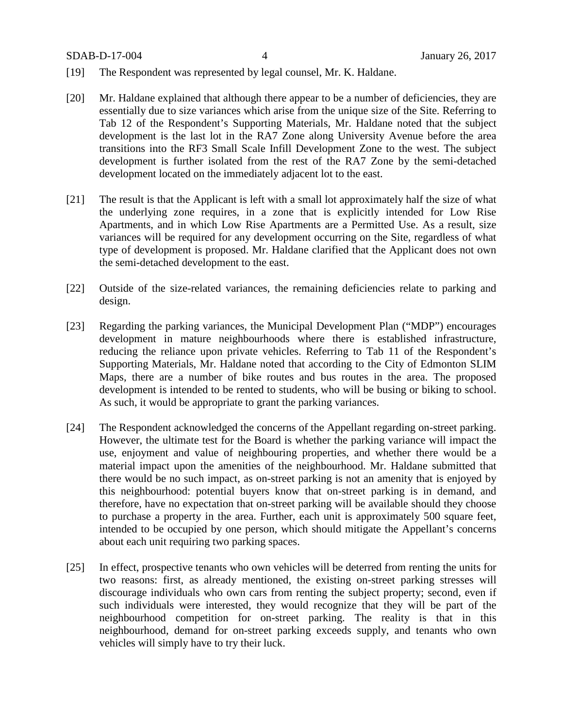SDAB-D-17-004 4 January 26, 2017

- [19] The Respondent was represented by legal counsel, Mr. K. Haldane.
- [20] Mr. Haldane explained that although there appear to be a number of deficiencies, they are essentially due to size variances which arise from the unique size of the Site. Referring to Tab 12 of the Respondent's Supporting Materials, Mr. Haldane noted that the subject development is the last lot in the RA7 Zone along University Avenue before the area transitions into the RF3 Small Scale Infill Development Zone to the west. The subject development is further isolated from the rest of the RA7 Zone by the semi-detached development located on the immediately adjacent lot to the east.
- [21] The result is that the Applicant is left with a small lot approximately half the size of what the underlying zone requires, in a zone that is explicitly intended for Low Rise Apartments, and in which Low Rise Apartments are a Permitted Use. As a result, size variances will be required for any development occurring on the Site, regardless of what type of development is proposed. Mr. Haldane clarified that the Applicant does not own the semi-detached development to the east.
- [22] Outside of the size-related variances, the remaining deficiencies relate to parking and design.
- [23] Regarding the parking variances, the Municipal Development Plan ("MDP") encourages development in mature neighbourhoods where there is established infrastructure, reducing the reliance upon private vehicles. Referring to Tab 11 of the Respondent's Supporting Materials, Mr. Haldane noted that according to the City of Edmonton SLIM Maps, there are a number of bike routes and bus routes in the area. The proposed development is intended to be rented to students, who will be busing or biking to school. As such, it would be appropriate to grant the parking variances.
- [24] The Respondent acknowledged the concerns of the Appellant regarding on-street parking. However, the ultimate test for the Board is whether the parking variance will impact the use, enjoyment and value of neighbouring properties, and whether there would be a material impact upon the amenities of the neighbourhood. Mr. Haldane submitted that there would be no such impact, as on-street parking is not an amenity that is enjoyed by this neighbourhood: potential buyers know that on-street parking is in demand, and therefore, have no expectation that on-street parking will be available should they choose to purchase a property in the area. Further, each unit is approximately 500 square feet, intended to be occupied by one person, which should mitigate the Appellant's concerns about each unit requiring two parking spaces.
- [25] In effect, prospective tenants who own vehicles will be deterred from renting the units for two reasons: first, as already mentioned, the existing on-street parking stresses will discourage individuals who own cars from renting the subject property; second, even if such individuals were interested, they would recognize that they will be part of the neighbourhood competition for on-street parking. The reality is that in this neighbourhood, demand for on-street parking exceeds supply, and tenants who own vehicles will simply have to try their luck.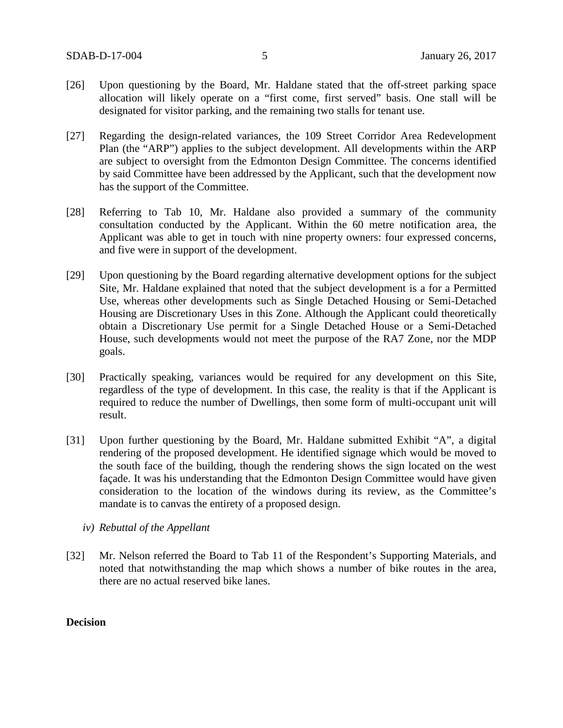- [26] Upon questioning by the Board, Mr. Haldane stated that the off-street parking space allocation will likely operate on a "first come, first served" basis. One stall will be designated for visitor parking, and the remaining two stalls for tenant use.
- [27] Regarding the design-related variances, the 109 Street Corridor Area Redevelopment Plan (the "ARP") applies to the subject development. All developments within the ARP are subject to oversight from the Edmonton Design Committee. The concerns identified by said Committee have been addressed by the Applicant, such that the development now has the support of the Committee.
- [28] Referring to Tab 10, Mr. Haldane also provided a summary of the community consultation conducted by the Applicant. Within the 60 metre notification area, the Applicant was able to get in touch with nine property owners: four expressed concerns, and five were in support of the development.
- [29] Upon questioning by the Board regarding alternative development options for the subject Site, Mr. Haldane explained that noted that the subject development is a for a Permitted Use, whereas other developments such as Single Detached Housing or Semi-Detached Housing are Discretionary Uses in this Zone. Although the Applicant could theoretically obtain a Discretionary Use permit for a Single Detached House or a Semi-Detached House, such developments would not meet the purpose of the RA7 Zone, nor the MDP goals.
- [30] Practically speaking, variances would be required for any development on this Site, regardless of the type of development. In this case, the reality is that if the Applicant is required to reduce the number of Dwellings, then some form of multi-occupant unit will result.
- [31] Upon further questioning by the Board, Mr. Haldane submitted Exhibit "A", a digital rendering of the proposed development. He identified signage which would be moved to the south face of the building, though the rendering shows the sign located on the west façade. It was his understanding that the Edmonton Design Committee would have given consideration to the location of the windows during its review, as the Committee's mandate is to canvas the entirety of a proposed design.
	- *iv) Rebuttal of the Appellant*
- [32] Mr. Nelson referred the Board to Tab 11 of the Respondent's Supporting Materials, and noted that notwithstanding the map which shows a number of bike routes in the area, there are no actual reserved bike lanes.

### **Decision**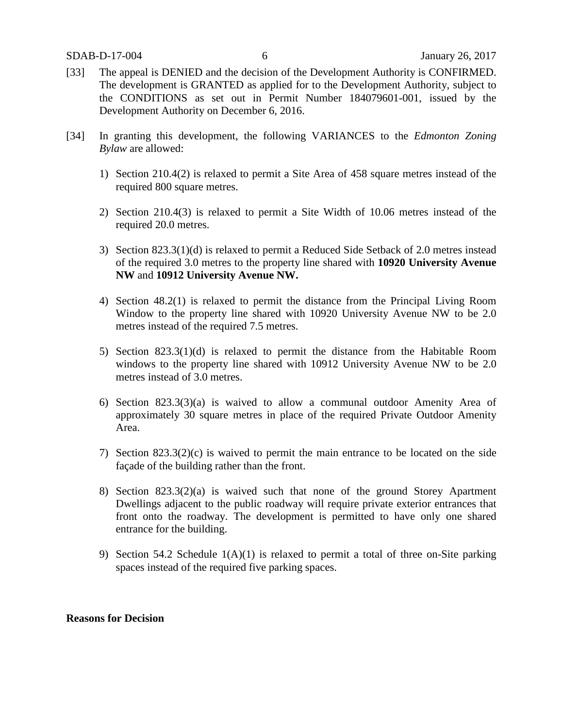- [33] The appeal is DENIED and the decision of the Development Authority is CONFIRMED. The development is GRANTED as applied for to the Development Authority, subject to the CONDITIONS as set out in Permit Number 184079601-001, issued by the Development Authority on December 6, 2016.
- [34] In granting this development, the following VARIANCES to the *Edmonton Zoning Bylaw* are allowed:
	- 1) Section 210.4(2) is relaxed to permit a Site Area of 458 square metres instead of the required 800 square metres.
	- 2) Section 210.4(3) is relaxed to permit a Site Width of 10.06 metres instead of the required 20.0 metres.
	- 3) Section 823.3(1)(d) is relaxed to permit a Reduced Side Setback of 2.0 metres instead of the required 3.0 metres to the property line shared with **10920 University Avenue NW** and **10912 University Avenue NW.**
	- 4) Section 48.2(1) is relaxed to permit the distance from the Principal Living Room Window to the property line shared with 10920 University Avenue NW to be 2.0 metres instead of the required 7.5 metres.
	- 5) Section 823.3(1)(d) is relaxed to permit the distance from the Habitable Room windows to the property line shared with 10912 University Avenue NW to be 2.0 metres instead of 3.0 metres.
	- 6) Section 823.3(3)(a) is waived to allow a communal outdoor Amenity Area of approximately 30 square metres in place of the required Private Outdoor Amenity Area.
	- 7) Section 823.3(2)(c) is waived to permit the main entrance to be located on the side façade of the building rather than the front.
	- 8) Section 823.3(2)(a) is waived such that none of the ground Storey Apartment Dwellings adjacent to the public roadway will require private exterior entrances that front onto the roadway. The development is permitted to have only one shared entrance for the building.
	- 9) Section 54.2 Schedule  $1(A)(1)$  is relaxed to permit a total of three on-Site parking spaces instead of the required five parking spaces.

#### **Reasons for Decision**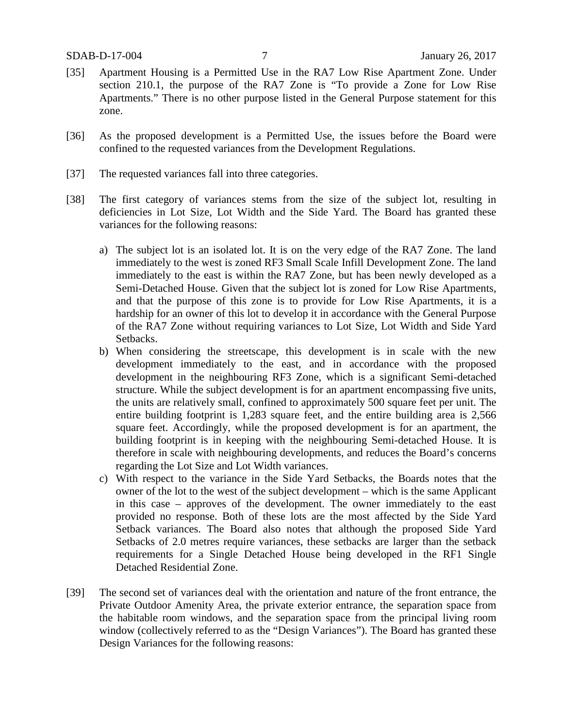- [35] Apartment Housing is a Permitted Use in the RA7 Low Rise Apartment Zone. Under section 210.1, the purpose of the RA7 Zone is "To provide a Zone for Low Rise Apartments." There is no other purpose listed in the General Purpose statement for this zone.
- [36] As the proposed development is a Permitted Use, the issues before the Board were confined to the requested variances from the Development Regulations.
- [37] The requested variances fall into three categories.
- [38] The first category of variances stems from the size of the subject lot, resulting in deficiencies in Lot Size, Lot Width and the Side Yard. The Board has granted these variances for the following reasons:
	- a) The subject lot is an isolated lot. It is on the very edge of the RA7 Zone. The land immediately to the west is zoned RF3 Small Scale Infill Development Zone. The land immediately to the east is within the RA7 Zone, but has been newly developed as a Semi-Detached House. Given that the subject lot is zoned for Low Rise Apartments, and that the purpose of this zone is to provide for Low Rise Apartments, it is a hardship for an owner of this lot to develop it in accordance with the General Purpose of the RA7 Zone without requiring variances to Lot Size, Lot Width and Side Yard Setbacks.
	- b) When considering the streetscape, this development is in scale with the new development immediately to the east, and in accordance with the proposed development in the neighbouring RF3 Zone, which is a significant Semi-detached structure. While the subject development is for an apartment encompassing five units, the units are relatively small, confined to approximately 500 square feet per unit. The entire building footprint is 1,283 square feet, and the entire building area is 2,566 square feet. Accordingly, while the proposed development is for an apartment, the building footprint is in keeping with the neighbouring Semi-detached House. It is therefore in scale with neighbouring developments, and reduces the Board's concerns regarding the Lot Size and Lot Width variances.
	- c) With respect to the variance in the Side Yard Setbacks, the Boards notes that the owner of the lot to the west of the subject development – which is the same Applicant in this case – approves of the development. The owner immediately to the east provided no response. Both of these lots are the most affected by the Side Yard Setback variances. The Board also notes that although the proposed Side Yard Setbacks of 2.0 metres require variances, these setbacks are larger than the setback requirements for a Single Detached House being developed in the RF1 Single Detached Residential Zone.
- [39] The second set of variances deal with the orientation and nature of the front entrance, the Private Outdoor Amenity Area, the private exterior entrance, the separation space from the habitable room windows, and the separation space from the principal living room window (collectively referred to as the "Design Variances"). The Board has granted these Design Variances for the following reasons: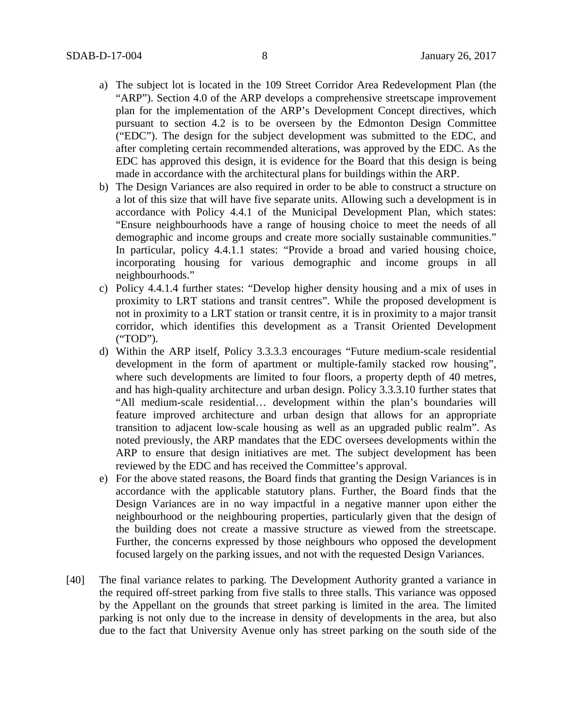- a) The subject lot is located in the 109 Street Corridor Area Redevelopment Plan (the "ARP"). Section 4.0 of the ARP develops a comprehensive streetscape improvement plan for the implementation of the ARP's Development Concept directives, which pursuant to section 4.2 is to be overseen by the Edmonton Design Committee ("EDC"). The design for the subject development was submitted to the EDC, and after completing certain recommended alterations, was approved by the EDC. As the EDC has approved this design, it is evidence for the Board that this design is being made in accordance with the architectural plans for buildings within the ARP.
- b) The Design Variances are also required in order to be able to construct a structure on a lot of this size that will have five separate units. Allowing such a development is in accordance with Policy 4.4.1 of the Municipal Development Plan, which states: "Ensure neighbourhoods have a range of housing choice to meet the needs of all demographic and income groups and create more socially sustainable communities." In particular, policy 4.4.1.1 states: "Provide a broad and varied housing choice, incorporating housing for various demographic and income groups in all neighbourhoods."
- c) Policy 4.4.1.4 further states: "Develop higher density housing and a mix of uses in proximity to LRT stations and transit centres". While the proposed development is not in proximity to a LRT station or transit centre, it is in proximity to a major transit corridor, which identifies this development as a Transit Oriented Development ("TOD").
- d) Within the ARP itself, Policy 3.3.3.3 encourages "Future medium-scale residential development in the form of apartment or multiple-family stacked row housing", where such developments are limited to four floors, a property depth of 40 metres, and has high-quality architecture and urban design. Policy 3.3.3.10 further states that "All medium-scale residential… development within the plan's boundaries will feature improved architecture and urban design that allows for an appropriate transition to adjacent low-scale housing as well as an upgraded public realm". As noted previously, the ARP mandates that the EDC oversees developments within the ARP to ensure that design initiatives are met. The subject development has been reviewed by the EDC and has received the Committee's approval.
- e) For the above stated reasons, the Board finds that granting the Design Variances is in accordance with the applicable statutory plans. Further, the Board finds that the Design Variances are in no way impactful in a negative manner upon either the neighbourhood or the neighbouring properties, particularly given that the design of the building does not create a massive structure as viewed from the streetscape. Further, the concerns expressed by those neighbours who opposed the development focused largely on the parking issues, and not with the requested Design Variances.
- [40] The final variance relates to parking. The Development Authority granted a variance in the required off-street parking from five stalls to three stalls. This variance was opposed by the Appellant on the grounds that street parking is limited in the area. The limited parking is not only due to the increase in density of developments in the area, but also due to the fact that University Avenue only has street parking on the south side of the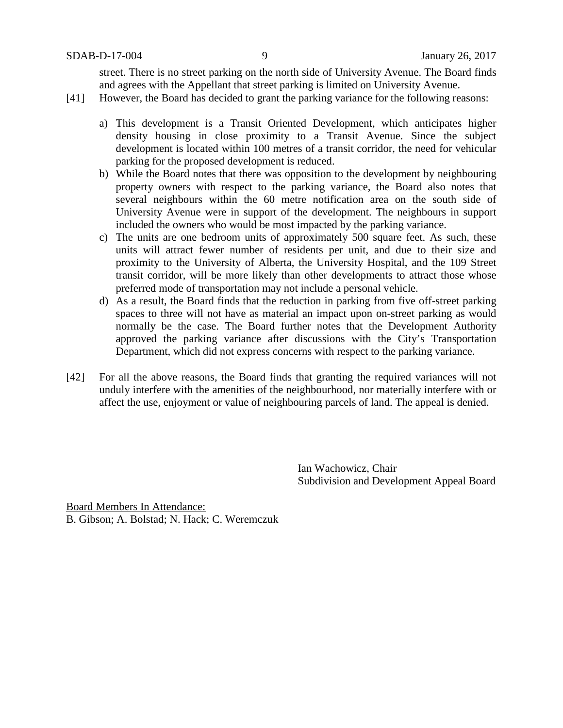street. There is no street parking on the north side of University Avenue. The Board finds and agrees with the Appellant that street parking is limited on University Avenue.

- [41] However, the Board has decided to grant the parking variance for the following reasons:
	- a) This development is a Transit Oriented Development, which anticipates higher density housing in close proximity to a Transit Avenue. Since the subject development is located within 100 metres of a transit corridor, the need for vehicular parking for the proposed development is reduced.
	- b) While the Board notes that there was opposition to the development by neighbouring property owners with respect to the parking variance, the Board also notes that several neighbours within the 60 metre notification area on the south side of University Avenue were in support of the development. The neighbours in support included the owners who would be most impacted by the parking variance.
	- c) The units are one bedroom units of approximately 500 square feet. As such, these units will attract fewer number of residents per unit, and due to their size and proximity to the University of Alberta, the University Hospital, and the 109 Street transit corridor, will be more likely than other developments to attract those whose preferred mode of transportation may not include a personal vehicle.
	- d) As a result, the Board finds that the reduction in parking from five off-street parking spaces to three will not have as material an impact upon on-street parking as would normally be the case. The Board further notes that the Development Authority approved the parking variance after discussions with the City's Transportation Department, which did not express concerns with respect to the parking variance.
- [42] For all the above reasons, the Board finds that granting the required variances will not unduly interfere with the amenities of the neighbourhood, nor materially interfere with or affect the use, enjoyment or value of neighbouring parcels of land. The appeal is denied.

Ian Wachowicz, Chair Subdivision and Development Appeal Board

Board Members In Attendance: B. Gibson; A. Bolstad; N. Hack; C. Weremczuk